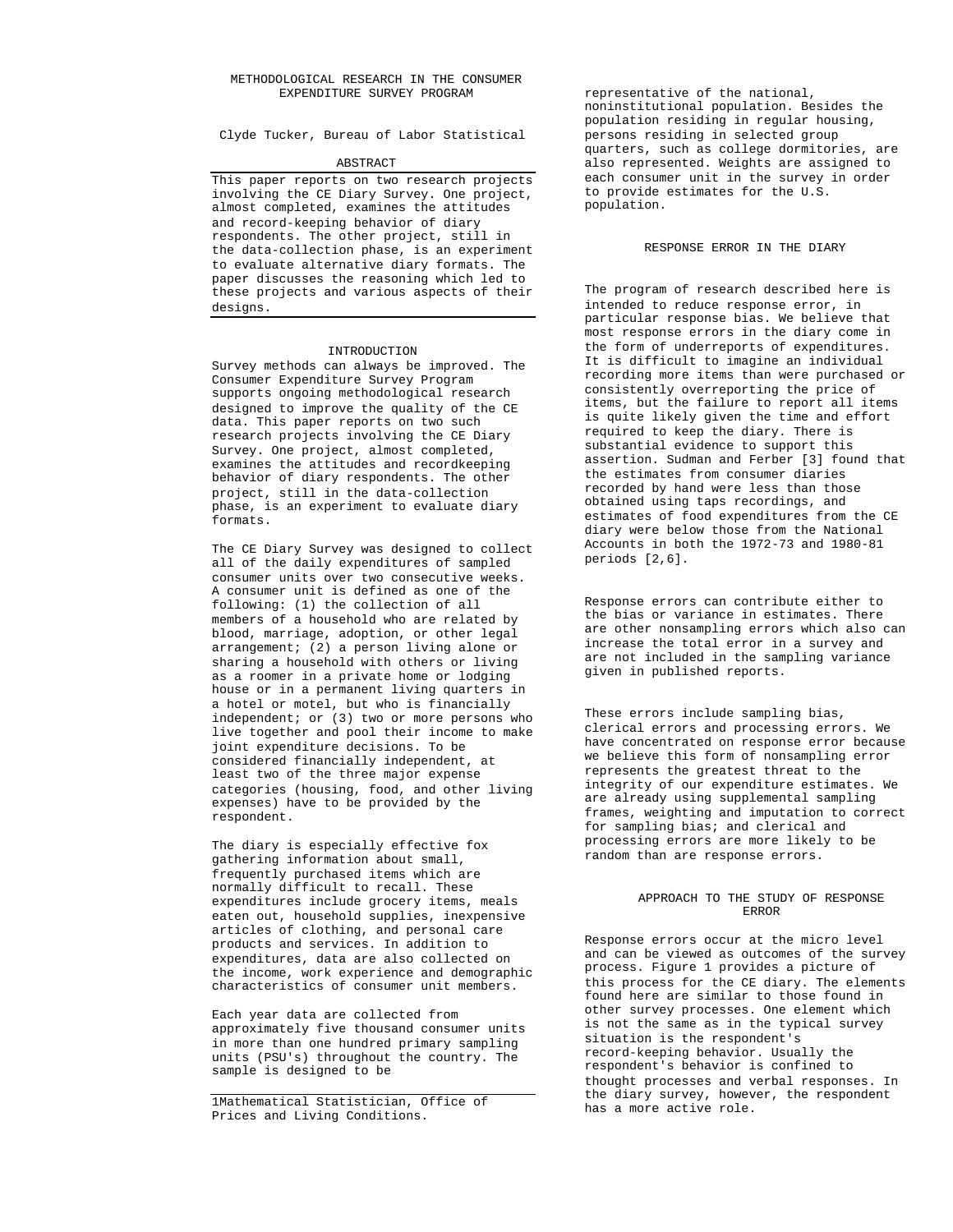#### METHODOLOGICAL RESEARCH IN THE CONSUMER EXPENDITURE SURVEY PROGRAM

Clyde Tucker, Bureau of Labor Statistical

#### ABSTRACT

This paper reports on two research projects involving the CE Diary Survey. One project, almost completed, examines the attitudes and record-keeping behavior of diary respondents. The other project, still in the data-collection phase, is an experiment to evaluate alternative diary formats. The paper discusses the reasoning which led to these projects and various aspects of their designs.

## INTRODUCTION

Survey methods can always be improved. The Consumer Expenditure Survey Program supports ongoing methodological research designed to improve the quality of the CE data. This paper reports on two such research projects involving the CE Diary Survey. One project, almost completed, examines the attitudes and recordkeeping behavior of diary respondents. The other project, still in the data-collection phase, is an experiment to evaluate diary formats.

The CE Diary Survey was designed to collect all of the daily expenditures of sampled consumer units over two consecutive weeks. A consumer unit is defined as one of the following: (1) the collection of all members of a household who are related by blood, marriage, adoption, or other legal arrangement; (2) a person living alone or sharing a household with others or living as a roomer in a private home or lodging house or in a permanent living quarters in a hotel or motel, but who is financially independent; or (3) two or more persons who live together and pool their income to make joint expenditure decisions. To be considered financially independent, at least two of the three major expense categories (housing, food, and other living expenses) have to be provided by the respondent.

The diary is especially effective fox gathering information about small, frequently purchased items which are normally difficult to recall. These expenditures include grocery items, meals eaten out, household supplies, inexpensive articles of clothing, and personal care products and services. In addition to expenditures, data are also collected on the income, work experience and demographic characteristics of consumer unit members.

Each year data are collected from approximately five thousand consumer units in more than one hundred primary sampling units (PSU's) throughout the country. The sample is designed to be

1Mathematical Statistician, Office of Prices and Living Conditions.

representative of the national, noninstitutional population. Besides the population residing in regular housing, persons residing in selected group quarters, such as college dormitories, are also represented. Weights are assigned to each consumer unit in the survey in order to provide estimates for the U.S. population.

# RESPONSE ERROR IN THE DIARY

The program of research described here is intended to reduce response error, in particular response bias. We believe that most response errors in the diary come in the form of underreports of expenditures. It is difficult to imagine an individual recording more items than were purchased or consistently overreporting the price of items, but the failure to report all items is quite likely given the time and effort required to keep the diary. There is substantial evidence to support this assertion. Sudman and Ferber [3] found that the estimates from consumer diaries recorded by hand were less than those obtained using taps recordings, and estimates of food expenditures from the CE diary were below those from the National Accounts in both the 1972-73 and 1980-81 periods [2,6].

Response errors can contribute either to the bias or variance in estimates. There are other nonsampling errors which also can increase the total error in a survey and are not included in the sampling variance given in published reports.

These errors include sampling bias, clerical errors and processing errors. We have concentrated on response error because we believe this form of nonsampling error represents the greatest threat to the integrity of our expenditure estimates. We are already using supplemental sampling frames, weighting and imputation to correct for sampling bias; and clerical and processing errors are more likely to be random than are response errors.

# APPROACH TO THE STUDY OF RESPONSE ERROR

Response errors occur at the micro level and can be viewed as outcomes of the survey process. Figure 1 provides a picture of this process for the CE diary. The elements found here are similar to those found in other survey processes. One element which is not the same as in the typical survey situation is the respondent's record-keeping behavior. Usually the respondent's behavior is confined to thought processes and verbal responses. In the diary survey, however, the respondent has a more active role.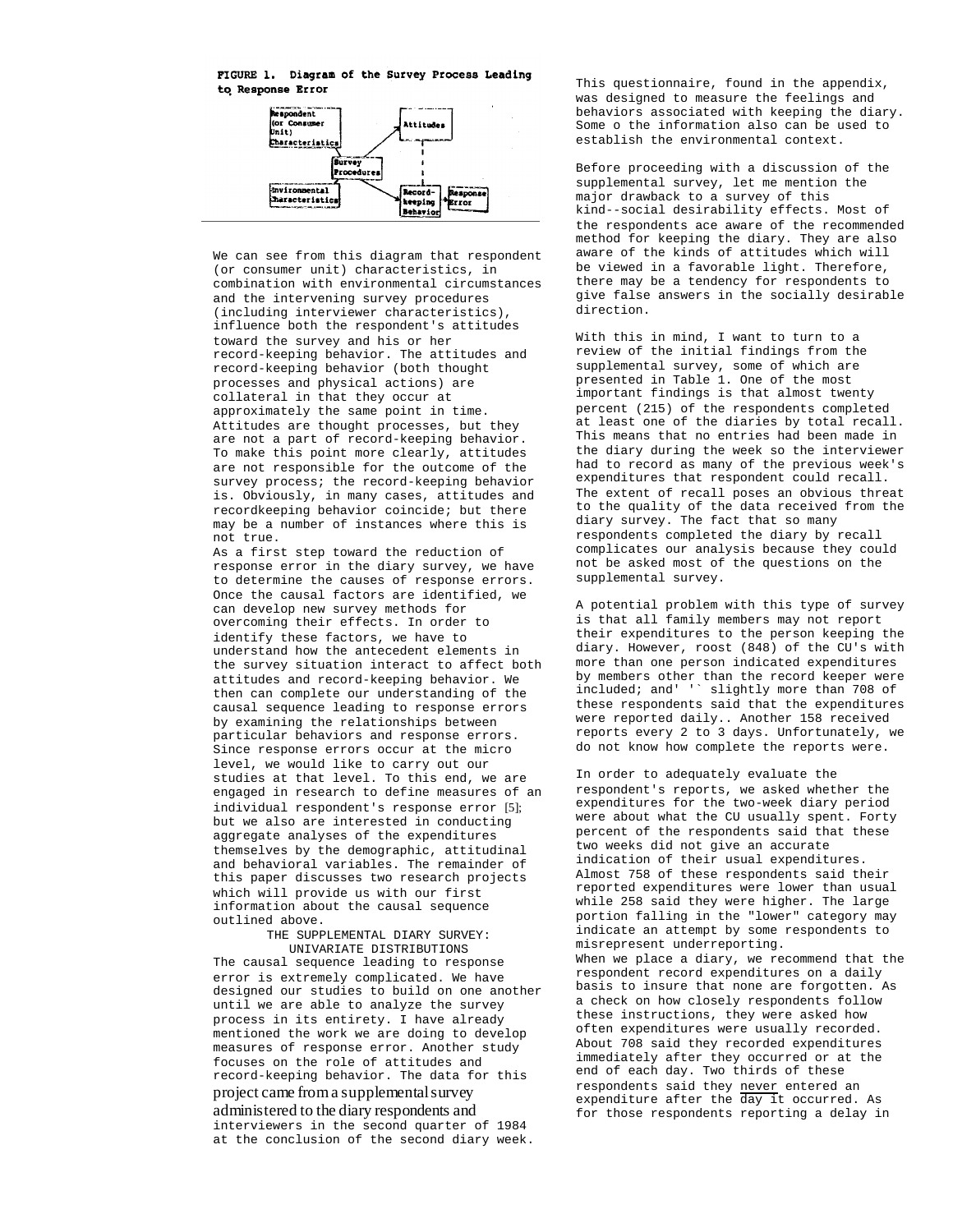FIGURE 1. Diagram of the Survey Process Leading to Response Error



We can see from this diagram that respondent (or consumer unit) characteristics, in combination with environmental circumstances and the intervening survey procedures (including interviewer characteristics), influence both the respondent's attitudes toward the survey and his or her record-keeping behavior. The attitudes and record-keeping behavior (both thought processes and physical actions) are collateral in that they occur at approximately the same point in time. Attitudes are thought processes, but they are not a part of record-keeping behavior. To make this point more clearly, attitudes are not responsible for the outcome of the survey process; the record-keeping behavior is. Obviously, in many cases, attitudes and recordkeeping behavior coincide; but there may be a number of instances where this is not true.

As a first step toward the reduction of response error in the diary survey, we have to determine the causes of response errors. Once the causal factors are identified, we can develop new survey methods for overcoming their effects. In order to identify these factors, we have to understand how the antecedent elements in the survey situation interact to affect both attitudes and record-keeping behavior. We then can complete our understanding of the causal sequence leading to response errors by examining the relationships between particular behaviors and response errors. Since response errors occur at the micro level, we would like to carry out our studies at that level. To this end, we are engaged in research to define measures of an individual respondent's response error [5]; but we also are interested in conducting aggregate analyses of the expenditures themselves by the demographic, attitudinal and behavioral variables. The remainder of this paper discusses two research projects which will provide us with our first information about the causal sequence outlined above.

THE SUPPLEMENTAL DIARY SURVEY: UNIVARIATE DISTRIBUTIONS The causal sequence leading to response error is extremely complicated. We have designed our studies to build on one another until we are able to analyze the survey process in its entirety. I have already mentioned the work we are doing to develop measures of response error. Another study focuses on the role of attitudes and record-keeping behavior. The data for this project came from a supplemental survey administered to the diary respondents and interviewers in the second quarter of 1984 at the conclusion of the second diary week.

This questionnaire, found in the appendix, was designed to measure the feelings and behaviors associated with keeping the diary. Some o the information also can be used to establish the environmental context.

Before proceeding with a discussion of the supplemental survey, let me mention the major drawback to a survey of this kind--social desirability effects. Most of the respondents ace aware of the recommended method for keeping the diary. They are also aware of the kinds of attitudes which will be viewed in a favorable light. Therefore, there may be a tendency for respondents to give false answers in the socially desirable direction.

With this in mind, I want to turn to a review of the initial findings from the supplemental survey, some of which are presented in Table 1. One of the most important findings is that almost twenty percent (215) of the respondents completed at least one of the diaries by total recall. This means that no entries had been made in the diary during the week so the interviewer had to record as many of the previous week's expenditures that respondent could recall. The extent of recall poses an obvious threat to the quality of the data received from the diary survey. The fact that so many respondents completed the diary by recall complicates our analysis because they could not be asked most of the questions on the supplemental survey.

A potential problem with this type of survey is that all family members may not report their expenditures to the person keeping the diary. However, roost (848) of the CU's with more than one person indicated expenditures by members other than the record keeper were included; and' '` slightly more than 708 of these respondents said that the expenditures were reported daily.. Another 158 received reports every 2 to 3 days. Unfortunately, we do not know how complete the reports were.

In order to adequately evaluate the respondent's reports, we asked whether the expenditures for the two-week diary period were about what the CU usually spent. Forty percent of the respondents said that these two weeks did not give an accurate indication of their usual expenditures. Almost 758 of these respondents said their reported expenditures were lower than usual while 258 said they were higher. The large portion falling in the "lower" category may indicate an attempt by some respondents to misrepresent underreporting. When we place a diary, we recommend that the respondent record expenditures on a daily basis to insure that none are forgotten. As a check on how closely respondents follow these instructions, they were asked how often expenditures were usually recorded. About 708 said they recorded expenditures immediately after they occurred or at the end of each day. Two thirds of these respondents said they never entered an expenditure after the day it occurred. As for those respondents reporting a delay in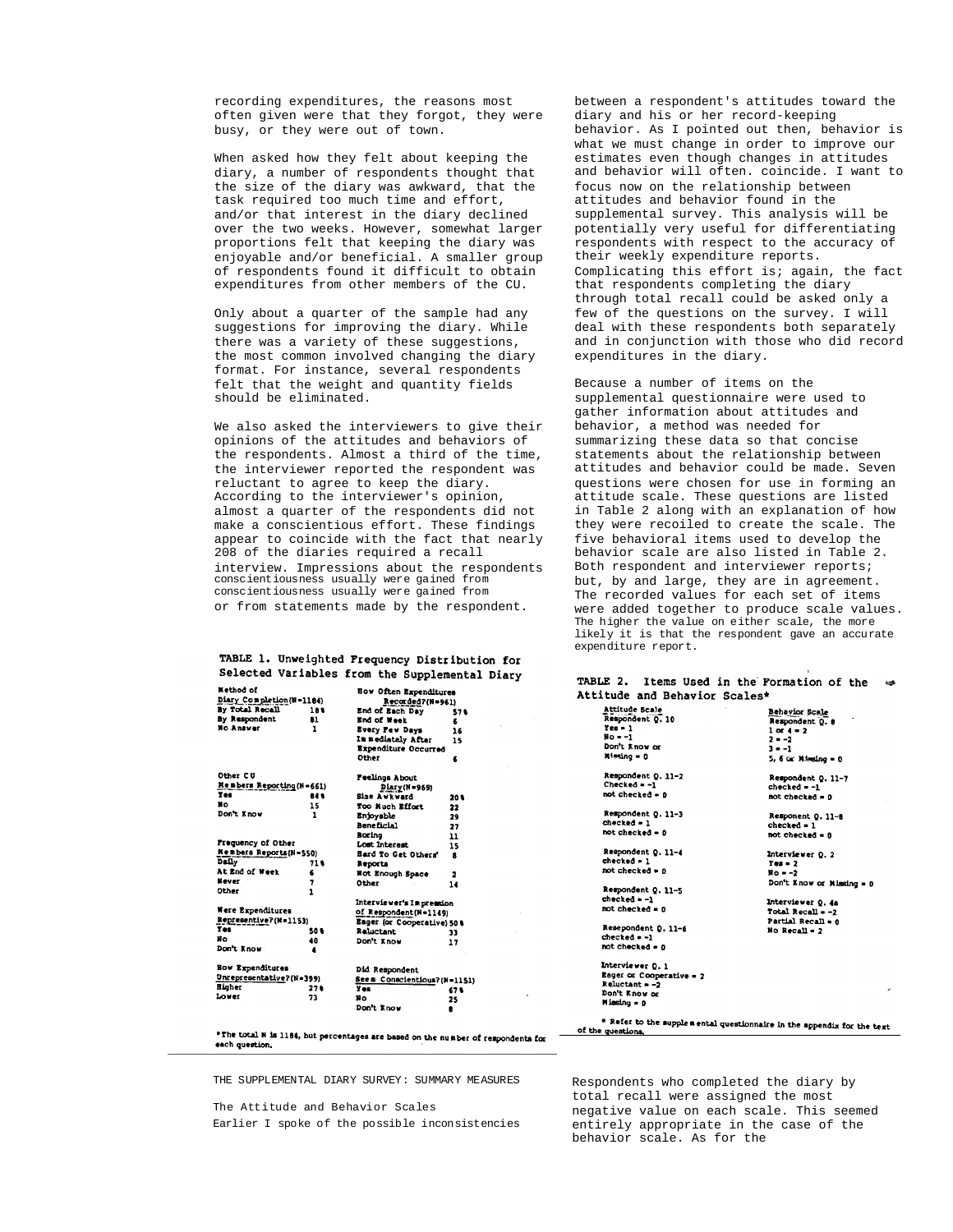recording expenditures, the reasons most often given were that they forgot, they were busy, or they were out of town.

When asked how they felt about keeping the diary, a number of respondents thought that the size of the diary was awkward, that the task required too much time and effort, and/or that interest in the diary declined over the two weeks. However, somewhat larger proportions felt that keeping the diary was enjoyable and/or beneficial. A smaller group of respondents found it difficult to obtain expenditures from other members of the CU.

Only about a quarter of the sample had any suggestions for improving the diary. While there was a variety of these suggestions, the most common involved changing the diary format. For instance, several respondents felt that the weight and quantity fields should be eliminated.

We also asked the interviewers to give their opinions of the attitudes and behaviors of the respondents. Almost a third of the time, the interviewer reported the respondent was reluctant to agree to keep the diary. According to the interviewer's opinion, almost a quarter of the respondents did not make a conscientious effort. These findings appear to coincide with the fact that nearly 208 of the diaries required a recall interview. Impressions about the respondents conscientiousness usually were gained from conscientiousness usually were gained from or from statements made by the respondent.

# TABLE 1. Unweighted Frequency Distribution for Selected Variables from the Supplemental Diary

| Nethod of                 |      | <b>How Often Expenditures</b> |      |
|---------------------------|------|-------------------------------|------|
| Diary Completion(N=1184)  |      | Recorded?(N=961)              |      |
| By Total Recall           | 184  | End of Each Day               | 57 Q |
| By Respondent             | A1   | <b>End of Week</b>            | £    |
| No Answer                 | ı    | Every Few Days                | 16   |
|                           |      | In nediately After            | 15   |
|                           |      | Expenditure Occurred          |      |
|                           |      | Other                         | £    |
| Other CU                  |      | <b>Feelings About</b>         |      |
| Henbers Reporting (N=661) |      | Diary (N = 969)               |      |
| Yes                       | 84 L | Size Awkward                  | 20 L |
| В٥                        | 15   | Too Nuch Effort               | 22   |
| Don't Know                | ı    | Enjoyable                     | 29   |
|                           |      | <b>Beneficial</b>             | 27   |
|                           |      | Borino                        | 11   |
| <b>Prequency of Other</b> |      | Lost Interest                 | 15   |
| Members Reports(N=550)    |      | Bard To Get Others'           | 8    |
| Dally                     | 71 L | Reports                       |      |
| At End of Week            | 6    | Not Enough Space              | 2    |
| Hever                     | 7    | Other                         | 14   |
| Other                     | ı    |                               |      |
|                           |      | Interviewer's Impression      |      |
| Were Expenditures         |      | of Respondent(N=1149)         |      |
| Representive?(N=1153)     |      | Eager (or Cooperative) 50%    |      |
| Yes:                      | 50 L | Reluctant                     | 33   |
| Ħ٥                        | 40   | Don't Know                    | 17   |
| Don't know-               | 4    |                               |      |
| <b>How Expenditures</b>   |      | Did Respondent                |      |
| Unrepresentative?(N=399)  |      | Seem Conscientious?(N=1151)   |      |
| Higher                    | 27 t | Y es                          | 67 4 |
| Lover                     | 73   | Я٥                            | 25   |
|                           |      | Don't Know                    | B    |
|                           |      |                               |      |

between a respondent's attitudes toward the diary and his or her record-keeping behavior. As I pointed out then, behavior is what we must change in order to improve our estimates even though changes in attitudes and behavior will often. coincide. I want to focus now on the relationship between attitudes and behavior found in the supplemental survey. This analysis will be potentially very useful for differentiating respondents with respect to the accuracy of their weekly expenditure reports. Complicating this effort is; again, the fact that respondents completing the diary through total recall could be asked only a few of the questions on the survey. I will deal with these respondents both separately and in conjunction with those who did record expenditures in the diary.

Because a number of items on the supplemental questionnaire were used to gather information about attitudes and behavior, a method was needed for summarizing these data so that concise statements about the relationship between attitudes and behavior could be made. Seven questions were chosen for use in forming an attitude scale. These questions are listed in Table 2 along with an explanation of how they were recoiled to create the scale. The five behavioral items used to develop the behavior scale are also listed in Table 2. Both respondent and interviewer reports; but, by and large, they are in agreement. The recorded values for each set of items were added together to produce scale values. The higher the value on either scale, the more likely it is that the respondent gave an accurate expenditure report.

### TABLE 2. Items Used in the Formation of the  $\Rightarrow$ Attitude and Behavior Scales\*

|   | <b>Attitude Scale</b>    | <b>Behavior Scale</b>                                                   |
|---|--------------------------|-------------------------------------------------------------------------|
|   | Respondent Q. 10         | Respondent Q. 8                                                         |
|   | $Yee = 1$                | $1 or 4 = 2$                                                            |
|   | $No - 1$                 | $2 - 2$                                                                 |
|   | Don't know or            | $3 - -1$                                                                |
|   | Miesing = 0              |                                                                         |
|   |                          | 5, 6 cm Niesing = 0                                                     |
|   | Respondent Q. 11-2       | Respondent O. 11-7                                                      |
|   | Checked = -1             | $checked = -1$                                                          |
|   | $not checked = 0$        | not checked = $0$                                                       |
|   | Respondent Q. 11-3       | Responent Q. 11-B                                                       |
|   | $checked - 1$            | checked = 1                                                             |
|   | $Dot checked = 0$        | $not checked = 0$                                                       |
|   | Respondent Q. 11-4       | Interviewer Q. 2                                                        |
|   | $checked = 1$            | $Yes = 2$                                                               |
|   | not checked $\bullet$ 0  | $No = -2$                                                               |
|   |                          | Don't Know or Missing = $0$                                             |
|   | Respondent Q. 11-5       |                                                                         |
|   | $checked = -1$           | Interviewer Q. 4a                                                       |
|   | $not checked = 0$        | Total $Recall = -2$                                                     |
|   |                          | Partial Recall = 0                                                      |
|   | Resepondent Q. 11-6      | No Recall = $2$                                                         |
|   | $checked = -1$           |                                                                         |
|   | not checked = n          |                                                                         |
|   | Interviewer Q. 1         |                                                                         |
|   | Eager or Cooperative = 2 |                                                                         |
|   | Reluctant = -2           |                                                                         |
| , | Don't Know or            | ,                                                                       |
|   | Missing = 0              |                                                                         |
|   |                          | * Refer to the supple mental questionnaire in the appendix for the text |
|   | Of the customers.        |                                                                         |

of the questions. \*The total N is 1184, but percentages are based on the number of respondents for each question.

THE SUPPLEMENTAL DIARY SURVEY: SUMMARY MEASURES

The Attitude and Behavior Scales Earlier I spoke of the possible inconsistencies Respondents who completed the diary by total recall were assigned the most negative value on each scale. This seemed entirely appropriate in the case of the behavior scale. As for the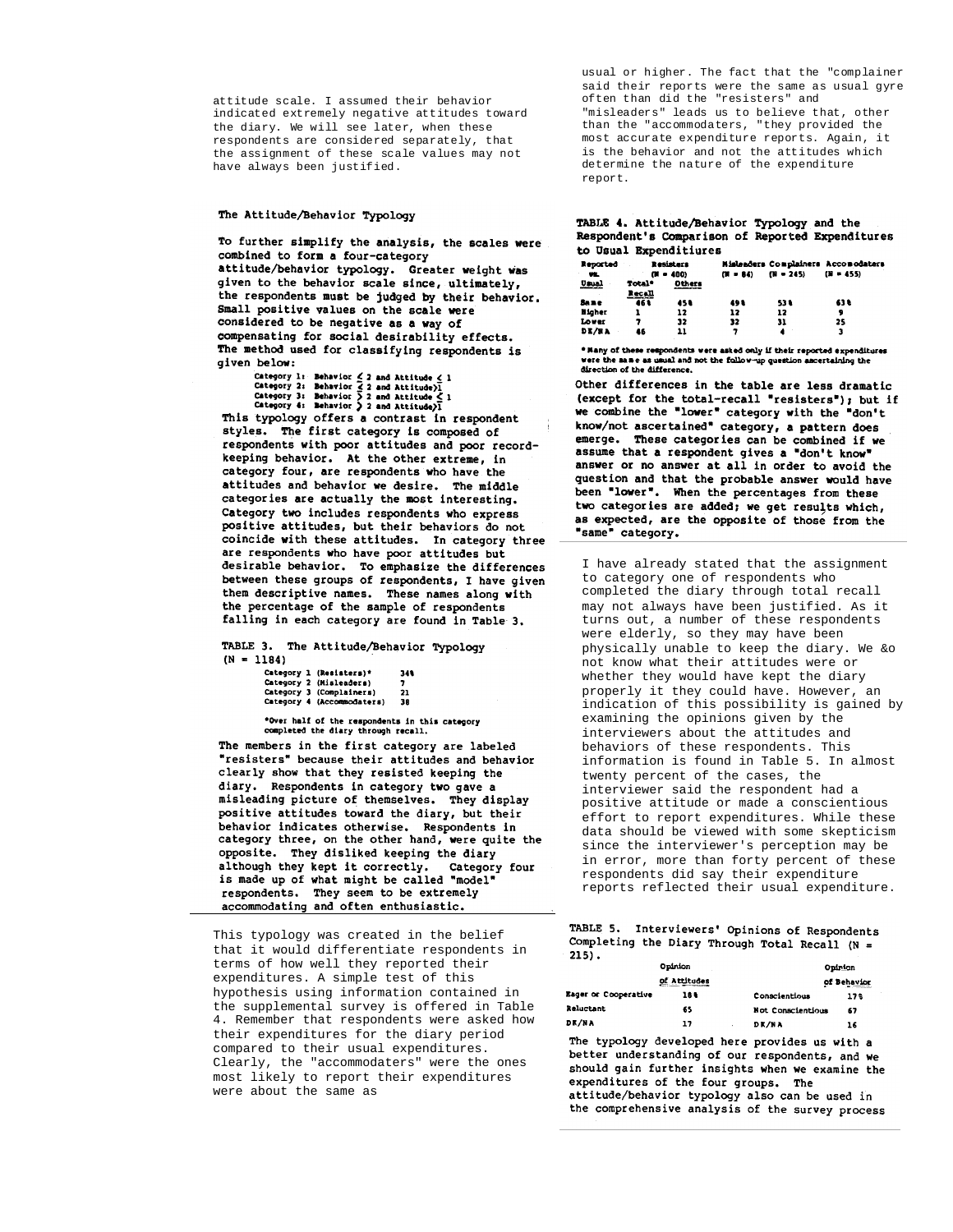attitude scale. I assumed their behavior indicated extremely negative attitudes toward the diary. We will see later, when these respondents are considered separately, that the assignment of these scale values may not have always been justified.

# The Attitude/Behavior Typology

To further simplify the analysis, the scales were combined to form a four-category attitude/behavior typology. Greater weight was given to the behavior scale since, ultimately, the respondents must be judged by their behavior. Small positive values on the scale were considered to be negative as a way of compensating for social desirability effects. The method used for classifying respondents is given below:

Category 1: Behavior  $\leq 2$  and Attitude  $\leq 1$ <br>Category 2: Behavior  $\leq 2$  and Attitude)1<br>Category 3: Behavior  $\geq 2$  and Attitude)<sup>2</sup><br>Category 4: Behavior  $\geq 2$  and Attitude)1

Č۱.

This typology offers a contrast in respondent styles. The first category is composed of respondents with poor attitudes and poor recordkeeping behavior. At the other extreme, in category four, are respondents who have the attitudes and behavior we desire. The middle categories are actually the most interesting. Category two includes respondents who express positive attitudes, but their behaviors do not coincide with these attitudes. In category three are respondents who have poor attitudes but desirable behavior. To emphasize the differences between these groups of respondents, I have given them descriptive names. These names along with the percentage of the sample of respondents falling in each category are found in Table 3.

TABLE 3. The Attitude/Behavior Typology  $(N = 1184)$ 

|  | Category 1 (Resisters)*    | 344 |
|--|----------------------------|-----|
|  | Category 2 (Misleaders)    | ,   |
|  | Category 3 (Complainers)   | 21  |
|  | Category 4 (Accommodaters) | 38  |

\*Over half of the respondents in this category completed the diary through recall.

The members in the first category are labeled "resisters" because their attitudes and behavior clearly show that they resisted keeping the diary. Respondents in category two gave a misleading picture of themselves. They display positive attitudes toward the diary, but their behavior indicates otherwise. Respondents in category three, on the other hand, were quite the opposite. They disliked keeping the diary although they kept it correctly. Category four is made up of what might be called "model" respondents. They seem to be extremely accommodating and often enthusiastic.

This typology was created in the belief that it would differentiate respondents in terms of how well they reported their expenditures. A simple test of this hypothesis using information contained in the supplemental survey is offered in Table 4. Remember that respondents were asked how their expenditures for the diary period compared to their usual expenditures. Clearly, the "accommodaters" were the ones most likely to report their expenditures were about the same as

usual or higher. The fact that the "complainer said their reports were the same as usual gyre often than did the "resisters" and "misleaders" leads us to believe that, other than the "accommodaters, "they provided the most accurate expenditure reports. Again, it is the behavior and not the attitudes which determine the nature of the expenditure report.

#### TABLE 4. Attitude/Behavior Typology and the Respondent's Comparison of Reported Expenditures to Usual Expenditiones

| Reported<br>vs. |                  | Resistars<br>$(0 - 400)$ |             | $(8 - 245)$ | Misleaders Complainers Accomodaters<br>$(11 - 455)$ |  |
|-----------------|------------------|--------------------------|-------------|-------------|-----------------------------------------------------|--|
| <u>Usual</u>    | Total"<br>Recall | Others                   | $(11 - 84)$ |             |                                                     |  |
| Same            | 461              | 451                      | 49 1        | 53 6        | 63 %                                                |  |
| Higher          |                  | 12                       | 12          | 12          |                                                     |  |
| Lower           |                  | 12                       | 32          | 31          | 25                                                  |  |
| DE/EA           | 46               | 11                       |             |             |                                                     |  |

\* Nany of these respondents were asked only if their reported expenditures were the same as usual and not the follow-up question ascertaining the direction of the difference.

Other differences in the table are less dramatic (except for the total-recall "resisters"); but if we combine the "lower" category with the "don't know/not ascertained" category, a pattern does emerge. These categories can be combined if we assume that a respondent gives a "don't know" answer or no answer at all in order to avoid the question and that the probable answer would have been "lower". When the percentages from these two categories are added; we get results which, as expected, are the opposite of those from the "same" category.

I have already stated that the assignment to category one of respondents who completed the diary through total recall may not always have been justified. As it turns out, a number of these respondents were elderly, so they may have been physically unable to keep the diary. We &o not know what their attitudes were or whether they would have kept the diary properly it they could have. However, an indication of this possibility is gained by examining the opinions given by the interviewers about the attitudes and behaviors of these respondents. This information is found in Table 5. In almost twenty percent of the cases, the interviewer said the respondent had a positive attitude or made a conscientious effort to report expenditures. While these data should be viewed with some skepticism since the interviewer's perception may be in error, more than forty percent of these respondents did say their expenditure reports reflected their usual expenditure.

#### TABLE 5. Interviewers' Opinions of Respondents Completing the Diary Through Total Recall ( $N =$  $2151.$

|                      | Opinion      |  |                          | Opinion                          |
|----------------------|--------------|--|--------------------------|----------------------------------|
|                      | of Attitudes |  |                          | of Behavior<br><b>CONTRACTOR</b> |
| Eager or Cooperative | 184          |  | Conscientious            | 17 Z                             |
| Reluctant            | 65           |  | <b>Not Conscientious</b> | 67                               |
| DK/NA                | 17           |  | DR/WA                    | 16                               |

The typology developed here provides us with a better understanding of our respondents, and we should gain further insights when we examine the expenditures of the four groups. The attitude/behavior typology also can be used in the comprehensive analysis of the survey process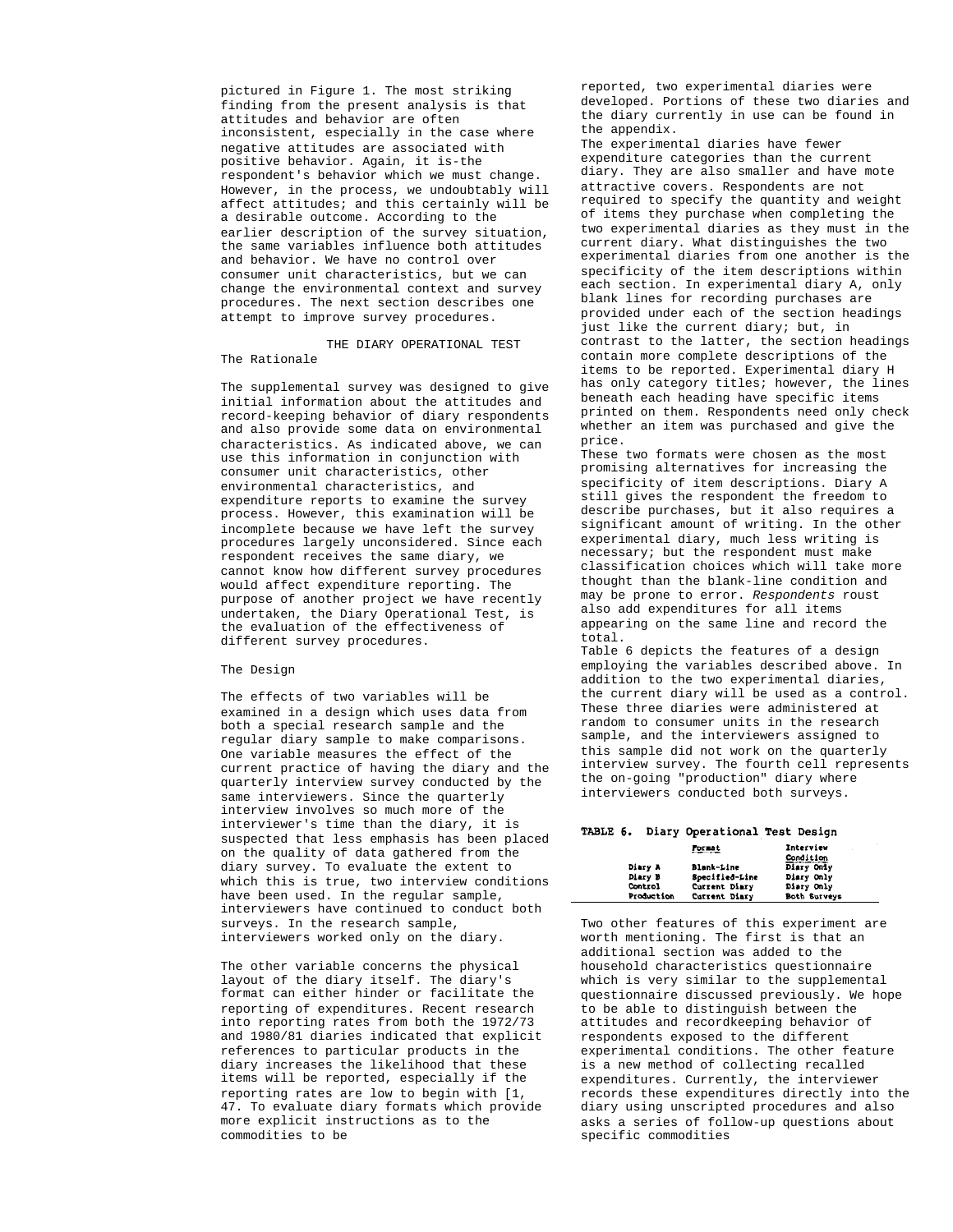pictured in Figure 1. The most striking finding from the present analysis is that attitudes and behavior are often inconsistent, especially in the case where negative attitudes are associated with positive behavior. Again, it is-the respondent's behavior which we must change. However, in the process, we undoubtably will affect attitudes; and this certainly will be a desirable outcome. According to the earlier description of the survey situation, the same variables influence both attitudes and behavior. We have no control over consumer unit characteristics, but we can change the environmental context and survey procedures. The next section describes one attempt to improve survey procedures.

THE DIARY OPERATIONAL TEST

# The Rationale

The supplemental survey was designed to give initial information about the attitudes and record-keeping behavior of diary respondents and also provide some data on environmental characteristics. As indicated above, we can use this information in conjunction with consumer unit characteristics, other environmental characteristics, and expenditure reports to examine the survey process. However, this examination will be incomplete because we have left the survey procedures largely unconsidered. Since each respondent receives the same diary, we cannot know how different survey procedures would affect expenditure reporting. The purpose of another project we have recently undertaken, the Diary Operational Test, is the evaluation of the effectiveness of different survey procedures.

### The Design

The effects of two variables will be examined in a design which uses data from both a special research sample and the regular diary sample to make comparisons. One variable measures the effect of the current practice of having the diary and the quarterly interview survey conducted by the same interviewers. Since the quarterly interview involves so much more of the interviewer's time than the diary, it is suspected that less emphasis has been placed on the quality of data gathered from the diary survey. To evaluate the extent to which this is true, two interview conditions have been used. In the regular sample, interviewers have continued to conduct both surveys. In the research sample, interviewers worked only on the diary.

The other variable concerns the physical layout of the diary itself. The diary's format can either hinder or facilitate the reporting of expenditures. Recent research into reporting rates from both the 1972/73 and 1980/81 diaries indicated that explicit references to particular products in the diary increases the likelihood that these items will be reported, especially if the reporting rates are low to begin with [1, 47. To evaluate diary formats which provide more explicit instructions as to the commodities to be

reported, two experimental diaries were developed. Portions of these two diaries and the diary currently in use can be found in the appendix.

The experimental diaries have fewer expenditure categories than the current diary. They are also smaller and have mote attractive covers. Respondents are not required to specify the quantity and weight of items they purchase when completing the two experimental diaries as they must in the current diary. What distinguishes the two experimental diaries from one another is the specificity of the item descriptions within each section. In experimental diary A, only blank lines for recording purchases are provided under each of the section headings just like the current diary; but, in contrast to the latter, the section headings contain more complete descriptions of the items to be reported. Experimental diary H has only category titles; however, the lines beneath each heading have specific items printed on them. Respondents need only check whether an item was purchased and give the price.

These two formats were chosen as the most promising alternatives for increasing the specificity of item descriptions. Diary A still gives the respondent the freedom to describe purchases, but it also requires a significant amount of writing. In the other experimental diary, much less writing is necessary; but the respondent must make classification choices which will take more thought than the blank-line condition and may be prone to error. *Respondents* roust also add expenditures for all items appearing on the same line and record the total.

Table 6 depicts the features of a design employing the variables described above. In addition to the two experimental diaries, the current diary will be used as a control. These three diaries were administered at random to consumer units in the research sample, and the interviewers assigned to this sample did not work on the quarterly interview survey. The fourth cell represents the on-going "production" diary where interviewers conducted both surveys.

# TABLE 6. Diary Operational Test Design

|            | Format<br><b>Property</b> | Interview    |
|------------|---------------------------|--------------|
|            |                           | Condition    |
| Diary A    | Blank-Line                | Diary Only   |
| Diary B    | Specified-Line            | Diary Only   |
| Control    | Current Diary             | Disry Only   |
| Production | Current Diary             | Both Surveys |

Two other features of this experiment are worth mentioning. The first is that an additional section was added to the household characteristics questionnaire which is very similar to the supplemental questionnaire discussed previously. We hope to be able to distinguish between the attitudes and recordkeeping behavior of respondents exposed to the different experimental conditions. The other feature is a new method of collecting recalled expenditures. Currently, the interviewer records these expenditures directly into the diary using unscripted procedures and also asks a series of follow-up questions about specific commodities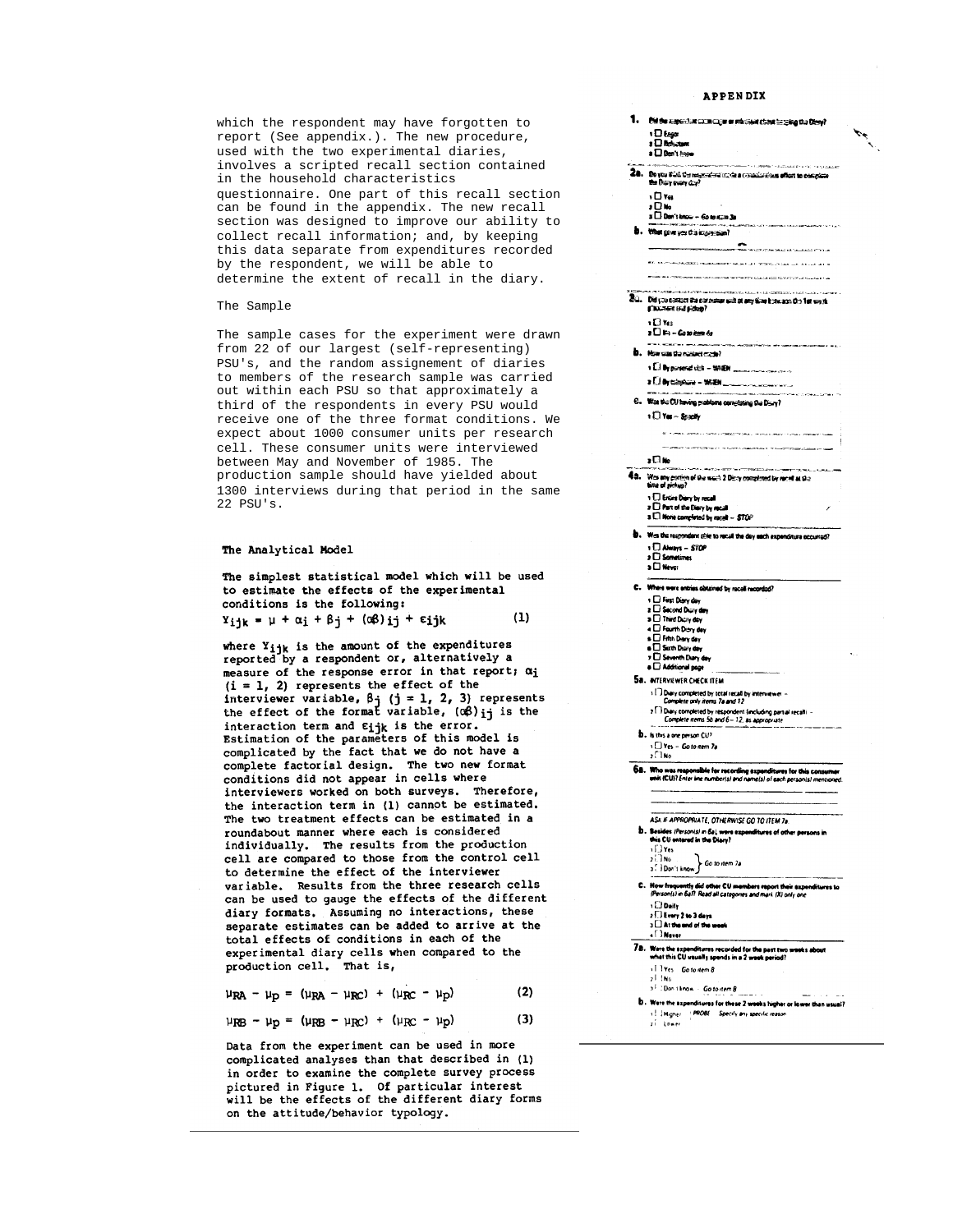**APPENDIX** 

which the respondent may have forgotten to report (See appendix.). The new procedure, used with the two experimental diaries, involves a scripted recall section contained in the household characteristics questionnaire. One part of this recall section can be found in the appendix. The new recall section was designed to improve our ability to collect recall information; and, by keeping this data separate from expenditures recorded by the respondent, we will be able to determine the extent of recall in the diary.

# The Sample

The sample cases for the experiment were drawn from 22 of our largest (self-representing) PSU's, and the random assignement of diaries to members of the research sample was carried out within each PSU so that approximately a third of the respondents in every PSU would receive one of the three format conditions. We expect about 1000 consumer units per research cell. These consumer units were interviewed between May and November of 1985. The production sample should have yielded about 1300 interviews during that period in the same 22 PSU's.

#### The Analytical Model

The simplest statistical model which will be used to estimate the effects of the experimental conditions is the following:  $(1)$  $Y_{i+k} = \mu + \alpha_i + \beta_i + (\alpha \beta) i + \epsilon i + \beta$ 

where Y<sub>ijk</sub> is the amount of the expenditures reported by a respondent or, alternatively a measure of the response error in that report; aj  $(i = 1, 2)$  represents the effect of the interviewer variable,  $\beta_j$  (j = 1, 2, 3) represents<br>the effect of the format variable, ( $\alpha\beta$ ) is the interaction term and eijk is the error.<br>Estimation of the parameters of this model is complicated by the fact that we do not have a complete factorial design. The two new format conditions did not appear in cells where interviewers worked on both surveys. Therefore, the interaction term in (1) cannot be estimated. The two treatment effects can be estimated in a roundabout manner where each is considered individually. The results from the production cell are compared to those from the control cell to determine the effect of the interviewer variable. Results from the three research cells can be used to gauge the effects of the different diary formats. Assuming no interactions, these separate estimates can be added to arrive at the total effects of conditions in each of the experimental diary cells when compared to the production cell. That is,

|  |  |  | $\mu_{\rm RA} - \mu_{\rm p} = (\mu_{\rm RA} - \mu_{\rm RC}) + (\mu_{\rm RC} - \mu_{\rm p})$ | (2) |
|--|--|--|---------------------------------------------------------------------------------------------|-----|
|  |  |  | $\text{UPR} = \text{Un} = (\text{UPR} - \text{URC}) + (\text{URC} - \text{Un})$             | (3) |

 $\mu_{RB} - \mu_{D} = (\mu_{RB} - \mu_{RC}) + (\mu_{RC} - \mu_{D})$ 

Data from the experiment can be used in more complicated analyses than that described in (1) in order to examine the complete survey process pictured in Figure 1. Of particular interest<br>will be the effects of the different diary forms on the attitude/behavior typology.

```
1. Between account with the leader to the V
          s ⊡ Eagon<br>a □ Rebutane<br>a □ Den't Heem
28. Do you think the magnetic station is considering of our to complete
          \sqrt{a}SO Den't know - Go to stan Ja
  b. the pays to consum!
          RK ARTIST MORTGAGERS COMMUNISTIC MORTGAGERS
                              .<br>All such volks and and non-transfer a call and subset of the law
20. Did you ested the careers with start for bottom the faces.
          \cdot D \cdotea
          2\overline{D} in - Company of
  b. How was the nation model?
          i Diagnost († 1949)
          El By Eliphone - WAEN
  6. Was the CU having problems completing the Disry?
          1 DYes - Seadly
                 .<br>No transferência de la contexta de la construcción de la construcción de la construcción de la construcción de
          2 \Omega No
4. Wes any portion of the work 2 Disny completed by recell at the time of pintup?
          1 1 Entire Dary by recall
          \mathbf{z} \, \Box Part of the Diany by recall
          3 \Box None completed by rocal - $70°b. Was the respondent give to recall the day each axpenditure accurred?
          1 \overline{\bigcup} Always - STOP<br>3 \overline{\bigcup} Sometimes
          5 \overline{\Box} Never
  C. Where were entries obtained by racell recorded?
          1 <sup>1</sup> First Diary day
          a \Box Second Dury day<br>a \Box Third Dury day
          - □ Fourth Diery dey
          s □ Fifth Diery day
          \overline{\phantom{a}} Sixth Diary de-
         y D Seventh Dury day<br>a D Additional page
   5a. DITERVIEWER CHECK ITEM
           1 Diavy completed by total recall by interviewer<br>Complete only items 7a and 12
           2 T Dairy completed by respondent (including partial recall) -<br>Complete nems 5b and 6 - 12, as appropriate
     b. Is this a one person CU?
          1 Yes - Go to nem 7a
           , \BoxNo
  68. Who was reaponsible for recording expenditures for whit (CU)? Enter are number(s) and name(s) of each per
                                                                              en for this ca
           ASK IF APPROPRIATE, OTHERWISE GO TO ITEM 7a
    \mathbf b. Besides (Personis) in 6a), were expenditures of other<br>this CU entered in the Diary?
           \frac{1}{2} \frac{1}{2} \frac{1}{2} \frac{1}{2} \frac{1}{2} \frac{1}{2} \frac{1}{2} \frac{1}{2} \frac{1}{2} \frac{1}{2} \frac{1}{2} \frac{1}{2} \frac{1}{2} \frac{1}{2} \frac{1}{2} \frac{1}{2} \frac{1}{2} \frac{1}{2} \frac{1}{2} \frac{1}{2} \frac{1}{2} \frac{1}{2} 21. INO<br>3. IDon't know y Go to item 7a
    C. How frequently did other CU members report their expenditures to<br>
(Person(s) in Gal? Read all categories and mark (X) only one
           \sqrt{10} Daily
          2 Devery 2 to 3 days<br>3 D At the end of the week
           <u>af I Nover</u>
 78. Were the expenditures recorded for the part two weeks about<br>what this CU usually spends in a 2 week period?
           1 TYes Go to nem 8
                1No
           3<sup>1</sup> : Don 1 know - Go to item 8
    b. Were the axpenditures for these 2 weeks higher or lower than usual?
          were the axpainations for these 2 weeks higher<br>s! Higher = PROBE = Specify any specific reason<br>zi = Live et =
```